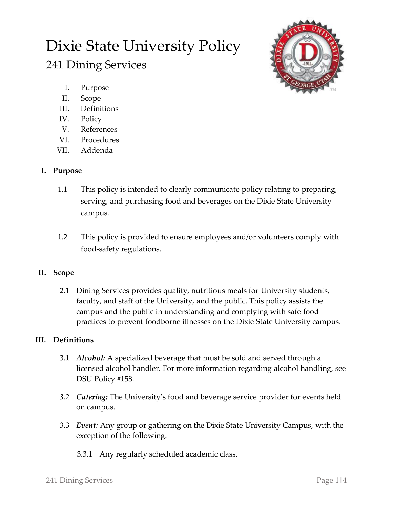# Dixie State University Policy

# 241 Dining Services



- I. Purpose
- II. Scope
- III. Definitions
- IV. Policy
- V. References
- VI. Procedures
- VII. Addenda

# **I. Purpose**

- 1.1 This policy is intended to clearly communicate policy relating to preparing, serving, and purchasing food and beverages on the Dixie State University campus.
- 1.2 This policy is provided to ensure employees and/or volunteers comply with food-safety regulations.

# **II. Scope**

2.1 Dining Services provides quality, nutritious meals for University students, faculty, and staff of the University, and the public. This policy assists the campus and the public in understanding and complying with safe food practices to prevent foodborne illnesses on the Dixie State University campus.

# **III. Definitions**

- 3.1 *Alcohol:* A specialized beverage that must be sold and served through a licensed alcohol handler. For more information regarding alcohol handling, see DSU Policy #158.
- *3.2 Catering:* The University's food and beverage service provider for events held on campus.
- 3.3 *Event:* Any group or gathering on the Dixie State University Campus, with the exception of the following:
	- 3.3.1 Any regularly scheduled academic class.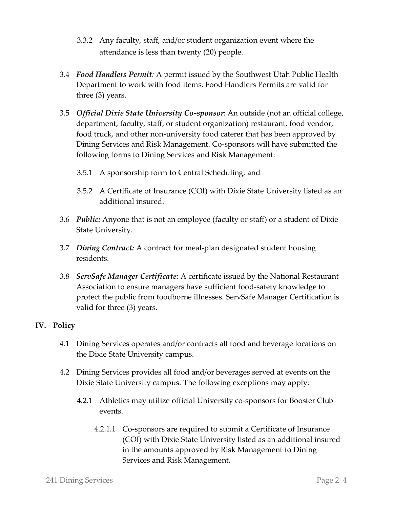- 3.3.2 Any faculty, staff, and/or student organization event where the attendance is less than twenty (20) people.
- 3.4 *Food Handlers Permit:* A permit issued by the Southwest Utah Public Health Department to work with food items. Food Handlers Permits are valid for three (3) years.
- 3.5 *Official Dixie State University Co-sponsor*: An outside (not an official college, department, faculty, staff, or student organization) restaurant, food vendor, food truck, and other non-university food caterer that has been approved by Dining Services and Risk Management. Co-sponsors will have submitted the following forms to Dining Services and Risk Management:
	- 3.5.1 A sponsorship form to Central Scheduling, and
	- 3.5.2 A Certificate of Insurance (COI) with Dixie State University listed as an additional insured.
- 3.6 *Public:* Anyone that is not an employee (faculty or staff) or a student of Dixie State University.
- 3.7 *Dining Contract:* A contract for meal-plan designated student housing residents.
- 3.8 *ServSafe Manager Certificate:* A certificate issued by the National Restaurant Association to ensure managers have sufficient food-safety knowledge to protect the public from foodborne illnesses. ServSafe Manager Certification is valid for three (3) years.

### **IV. Policy**

- 4.1 Dining Services operates and/or contracts all food and beverage locations on the Dixie State University campus.
- 4.2 Dining Services provides all food and/or beverages served at events on the Dixie State University campus. The following exceptions may apply:
	- 4.2.1 Athletics may utilize official University co-sponsors for Booster Club events.
		- 4.2.1.1 Co-sponsors are required to submit a Certificate of Insurance (COI) with Dixie State University listed as an additional insured in the amounts approved by Risk Management to Dining Services and Risk Management.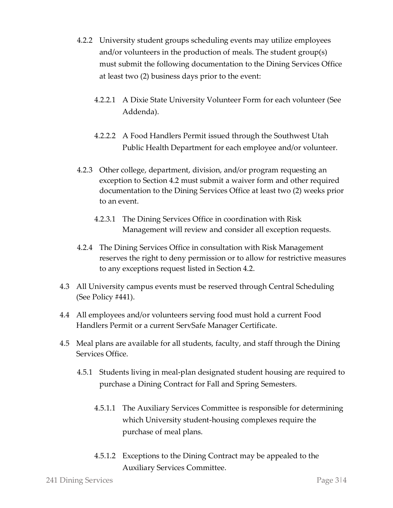- 4.2.2 University student groups scheduling events may utilize employees and/or volunteers in the production of meals. The student group(s) must submit the following documentation to the Dining Services Office at least two (2) business days prior to the event:
	- 4.2.2.1 A Dixie State University Volunteer Form for each volunteer (See Addenda).
	- 4.2.2.2 A Food Handlers Permit issued through the Southwest Utah Public Health Department for each employee and/or volunteer.
- 4.2.3 Other college, department, division, and/or program requesting an exception to Section 4.2 must submit a waiver form and other required documentation to the Dining Services Office at least two (2) weeks prior to an event.
	- 4.2.3.1 The Dining Services Office in coordination with Risk Management will review and consider all exception requests.
- 4.2.4 The Dining Services Office in consultation with Risk Management reserves the right to deny permission or to allow for restrictive measures to any exceptions request listed in Section 4.2.
- 4.3 All University campus events must be reserved through Central Scheduling (See Policy #441).
- 4.4 All employees and/or volunteers serving food must hold a current Food Handlers Permit or a current ServSafe Manager Certificate.
- 4.5 Meal plans are available for all students, faculty, and staff through the Dining Services Office.
	- 4.5.1 Students living in meal-plan designated student housing are required to purchase a Dining Contract for Fall and Spring Semesters.
		- 4.5.1.1 The Auxiliary Services Committee is responsible for determining which University student-housing complexes require the purchase of meal plans.
		- 4.5.1.2 Exceptions to the Dining Contract may be appealed to the Auxiliary Services Committee.